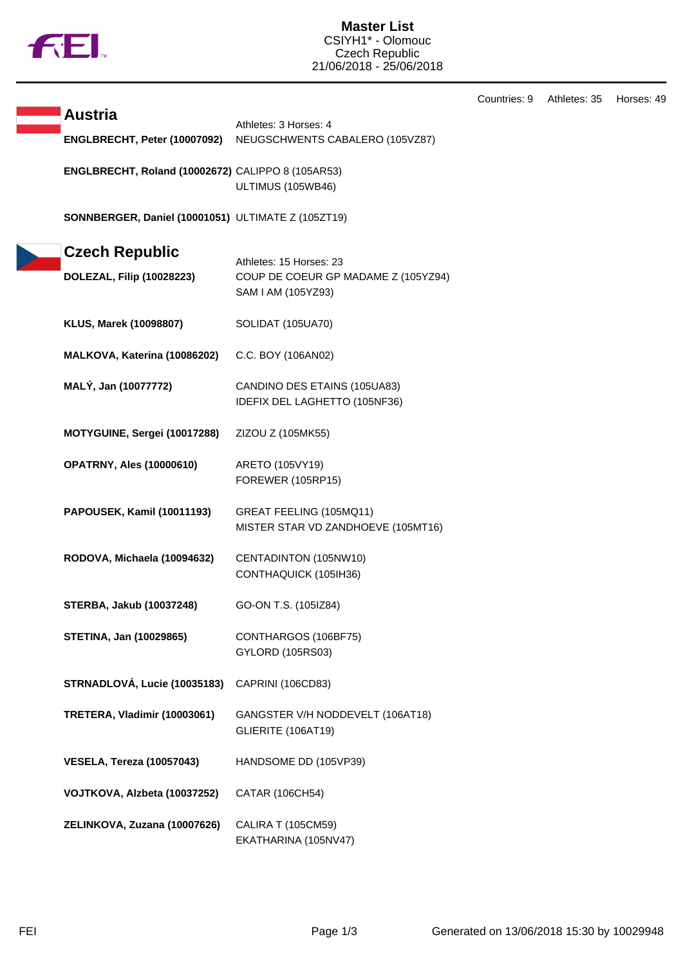

## **Master List** CSIYH1\* - Olomouc Czech Republic 21/06/2018 - 25/06/2018

Countries: 9 Athletes: 35 Horses: 49

| <b>Austria</b>                                           | Athletes: 3 Horses: 4<br>NEUGSCHWENTS CABALERO (105VZ87) |
|----------------------------------------------------------|----------------------------------------------------------|
| ENGLBRECHT, Peter (10007092)                             |                                                          |
| <b>ENGLBRECHT, Roland (10002672) CALIPPO 8 (105AR53)</b> |                                                          |
|                                                          | ULTIMUS (105WB46)                                        |

**SONNBERGER, Daniel (10001051)** ULTIMATE Z (105ZT19)

| <b>Czech Republic</b>            | Athletes: 15 Horses: 23                                       |
|----------------------------------|---------------------------------------------------------------|
| DOLEZAL, Filip (10028223)        | COUP DE COEUR GP MADAME Z (105YZ94)<br>SAM I AM (105YZ93)     |
| KLUS, Marek (10098807)           | SOLIDAT (105UA70)                                             |
| MALKOVA, Katerina (10086202)     | C.C. BOY (106AN02)                                            |
| MALÝ, Jan (10077772)             | CANDINO DES ETAINS (105UA83)<br>IDEFIX DEL LAGHETTO (105NF36) |
| MOTYGUINE, Sergei (10017288)     | ZIZOU Z (105MK55)                                             |
| <b>OPATRNY, Ales (10000610)</b>  | ARETO (105VY19)<br>FOREWER (105RP15)                          |
| PAPOUSEK, Kamil (10011193)       | GREAT FEELING (105MQ11)<br>MISTER STAR VD ZANDHOEVE (105MT16) |
| RODOVA, Michaela (10094632)      | CENTADINTON (105NW10)<br>CONTHAQUICK (105IH36)                |
| <b>STERBA, Jakub (10037248)</b>  | GO-ON T.S. (105IZ84)                                          |
| <b>STETINA, Jan (10029865)</b>   | CONTHARGOS (106BF75)<br>GYLORD (105RS03)                      |
| STRNADLOVÁ, Lucie (10035183)     | CAPRINI (106CD83)                                             |
| TRETERA, Vladimir (10003061)     | GANGSTER V/H NODDEVELT (106AT18)<br>GLIERITE (106AT19)        |
| <b>VESELA, Tereza (10057043)</b> | HANDSOME DD (105VP39)                                         |
| VOJTKOVA, Alzbeta (10037252)     | CATAR (106CH54)                                               |
| ZELINKOVA, Zuzana (10007626)     | <b>CALIRA T (105CM59)</b><br>EKATHARINA (105NV47)             |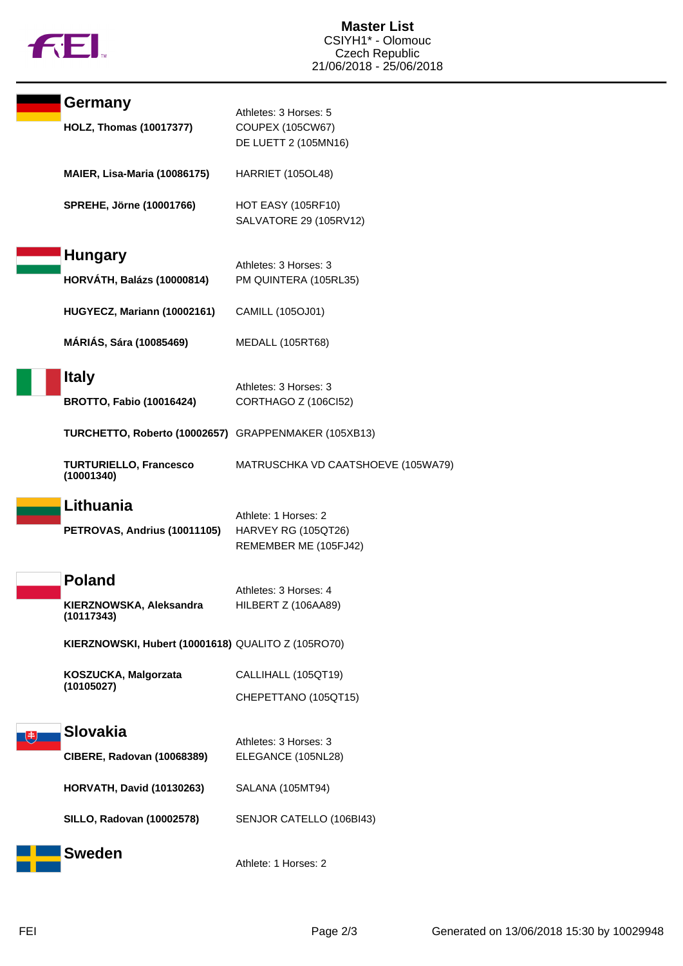

| Germany                                              | Athletes: 3 Horses: 5                               |
|------------------------------------------------------|-----------------------------------------------------|
| <b>HOLZ, Thomas (10017377)</b>                       | <b>COUPEX (105CW67)</b><br>DE LUETT 2 (105MN16)     |
| MAIER, Lisa-Maria (10086175)                         | <b>HARRIET (105OL48)</b>                            |
| <b>SPREHE, Jörne (10001766)</b>                      | <b>HOT EASY (105RF10)</b><br>SALVATORE 29 (105RV12) |
| <b>Hungary</b>                                       |                                                     |
| <b>HORVÁTH, Balázs (10000814)</b>                    | Athletes: 3 Horses: 3<br>PM QUINTERA (105RL35)      |
| HUGYECZ, Mariann (10002161)                          | CAMILL (105OJ01)                                    |
| <b>MÁRIÁS, Sára (10085469)</b>                       | <b>MEDALL (105RT68)</b>                             |
| <b>Italy</b>                                         | Athletes: 3 Horses: 3                               |
| <b>BROTTO, Fabio (10016424)</b>                      | CORTHAGO Z (106Cl52)                                |
| TURCHETTO, Roberto (10002657) GRAPPENMAKER (105XB13) |                                                     |
| <b>TURTURIELLO, Francesco</b><br>(10001340)          | MATRUSCHKA VD CAATSHOEVE (105WA79)                  |
| Lithuania                                            | Athlete: 1 Horses: 2                                |
| PETROVAS, Andrius (10011105)                         | <b>HARVEY RG (105QT26)</b><br>REMEMBER ME (105FJ42) |
| <b>Poland</b>                                        |                                                     |
| KIERZNOWSKA, Aleksandra<br>(10117343)                | Athletes: 3 Horses: 4<br>HILBERT Z (106AA89)        |
| KIERZNOWSKI, Hubert (10001618) QUALITO Z (105RO70)   |                                                     |
| KOSZUCKA, Malgorzata                                 | CALLIHALL (105QT19)                                 |
| (10105027)                                           | CHEPETTANO (105QT15)                                |
| <b>Slovakia</b>                                      |                                                     |
| <b>CIBERE, Radovan (10068389)</b>                    | Athletes: 3 Horses: 3<br>ELEGANCE (105NL28)         |
| <b>HORVATH, David (10130263)</b>                     | SALANA (105MT94)                                    |
| <b>SILLO, Radovan (10002578)</b>                     | SENJOR CATELLO (106BI43)                            |
| <b>Sweden</b>                                        | Athlete: 1 Horses: 2                                |